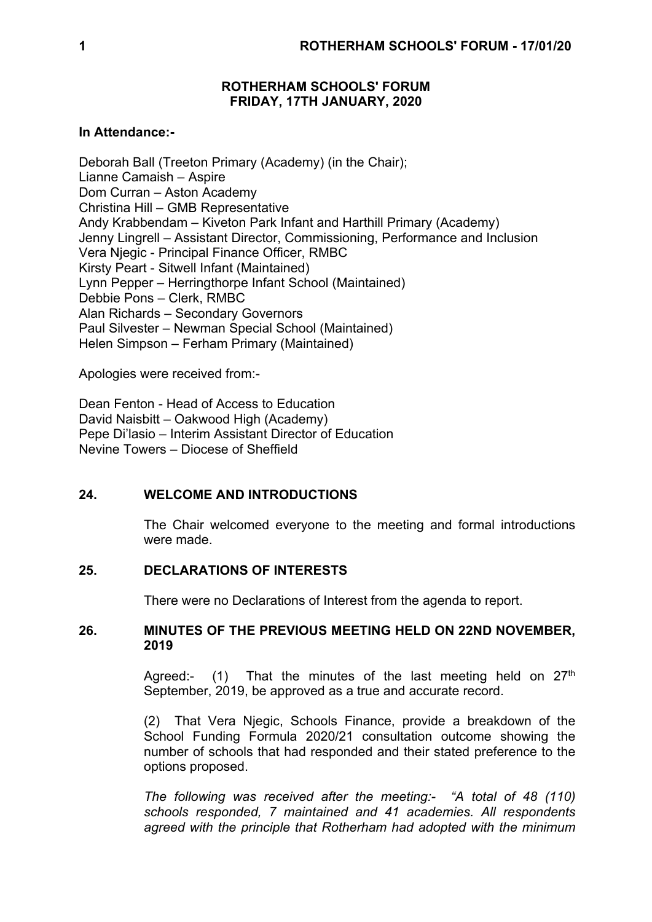## **ROTHERHAM SCHOOLS' FORUM FRIDAY, 17TH JANUARY, 2020**

## **In Attendance:-**

Deborah Ball (Treeton Primary (Academy) (in the Chair); Lianne Camaish – Aspire Dom Curran – Aston Academy Christina Hill – GMB Representative Andy Krabbendam – Kiveton Park Infant and Harthill Primary (Academy) Jenny Lingrell – Assistant Director, Commissioning, Performance and Inclusion Vera Njegic - Principal Finance Officer, RMBC Kirsty Peart - Sitwell Infant (Maintained) Lynn Pepper – Herringthorpe Infant School (Maintained) Debbie Pons – Clerk, RMBC Alan Richards – Secondary Governors Paul Silvester – Newman Special School (Maintained) Helen Simpson – Ferham Primary (Maintained)

Apologies were received from:-

Dean Fenton - Head of Access to Education David Naisbitt – Oakwood High (Academy) Pepe Di'lasio – Interim Assistant Director of Education Nevine Towers – Diocese of Sheffield

## **24. WELCOME AND INTRODUCTIONS**

The Chair welcomed everyone to the meeting and formal introductions were made.

### **25. DECLARATIONS OF INTERESTS**

There were no Declarations of Interest from the agenda to report.

#### **26. MINUTES OF THE PREVIOUS MEETING HELD ON 22ND NOVEMBER, 2019**

Agreed:- (1) That the minutes of the last meeting held on  $27<sup>th</sup>$ September, 2019, be approved as a true and accurate record.

(2) That Vera Njegic, Schools Finance, provide a breakdown of the School Funding Formula 2020/21 consultation outcome showing the number of schools that had responded and their stated preference to the options proposed.

*The following was received after the meeting:- "A total of 48 (110) schools responded, 7 maintained and 41 academies. All respondents agreed with the principle that Rotherham had adopted with the minimum*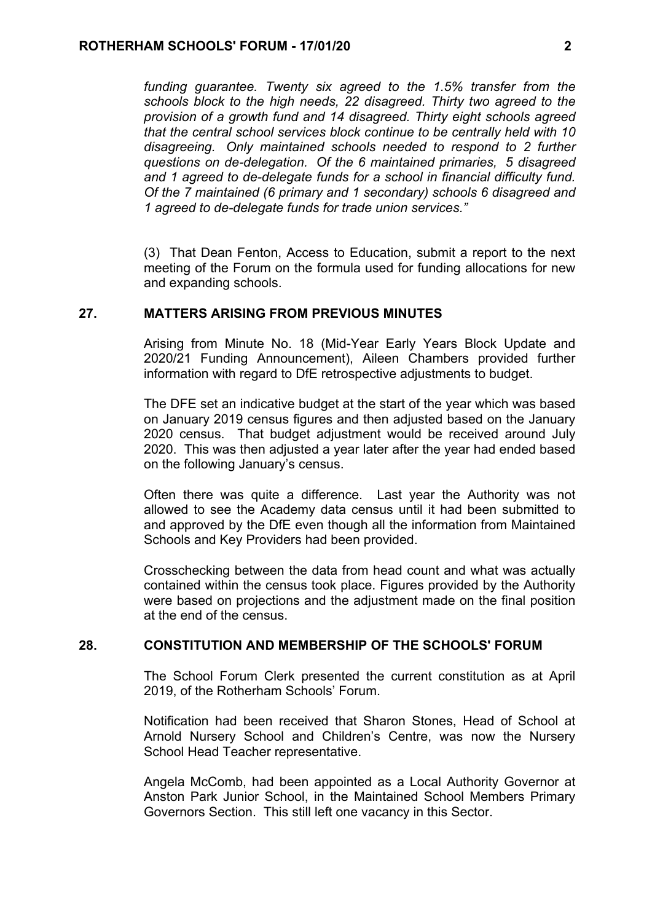*funding guarantee. Twenty six agreed to the 1.5% transfer from the schools block to the high needs, 22 disagreed. Thirty two agreed to the provision of a growth fund and 14 disagreed. Thirty eight schools agreed that the central school services block continue to be centrally held with 10 disagreeing. Only maintained schools needed to respond to 2 further questions on de-delegation. Of the 6 maintained primaries, 5 disagreed and 1 agreed to de-delegate funds for a school in financial difficulty fund. Of the 7 maintained (6 primary and 1 secondary) schools 6 disagreed and 1 agreed to de-delegate funds for trade union services."*

(3) That Dean Fenton, Access to Education, submit a report to the next meeting of the Forum on the formula used for funding allocations for new and expanding schools.

#### **27. MATTERS ARISING FROM PREVIOUS MINUTES**

Arising from Minute No. 18 (Mid-Year Early Years Block Update and 2020/21 Funding Announcement), Aileen Chambers provided further information with regard to DfE retrospective adjustments to budget.

The DFE set an indicative budget at the start of the year which was based on January 2019 census figures and then adjusted based on the January 2020 census. That budget adjustment would be received around July 2020. This was then adjusted a year later after the year had ended based on the following January's census.

Often there was quite a difference. Last year the Authority was not allowed to see the Academy data census until it had been submitted to and approved by the DfE even though all the information from Maintained Schools and Key Providers had been provided.

Crosschecking between the data from head count and what was actually contained within the census took place. Figures provided by the Authority were based on projections and the adjustment made on the final position at the end of the census.

#### **28. CONSTITUTION AND MEMBERSHIP OF THE SCHOOLS' FORUM**

The School Forum Clerk presented the current constitution as at April 2019, of the Rotherham Schools' Forum.

Notification had been received that Sharon Stones, Head of School at Arnold Nursery School and Children's Centre, was now the Nursery School Head Teacher representative.

Angela McComb, had been appointed as a Local Authority Governor at Anston Park Junior School, in the Maintained School Members Primary Governors Section. This still left one vacancy in this Sector.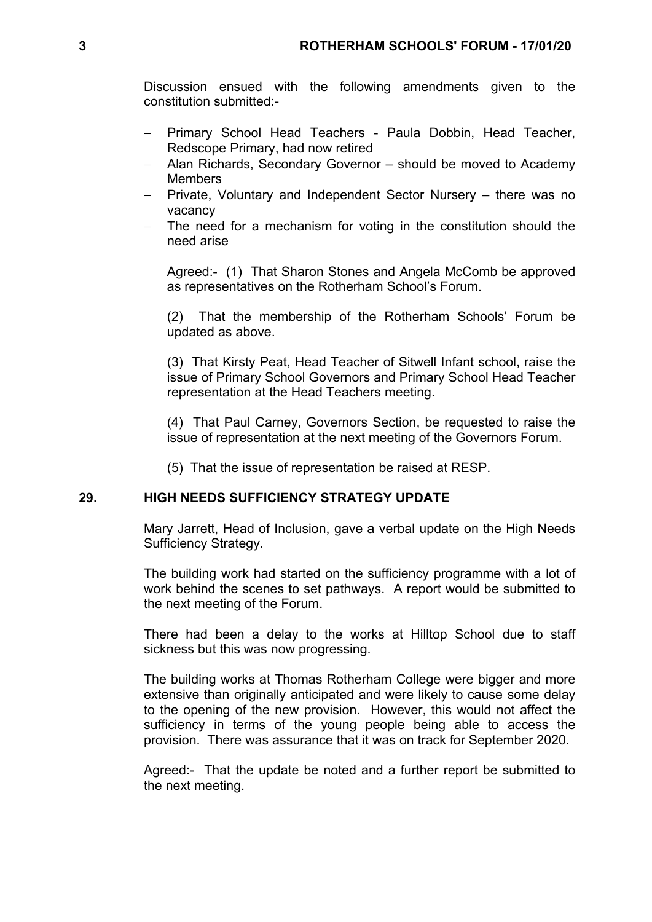Discussion ensued with the following amendments given to the constitution submitted:-

- Primary School Head Teachers Paula Dobbin, Head Teacher, Redscope Primary, had now retired
- Alan Richards, Secondary Governor should be moved to Academy Members
- Private, Voluntary and Independent Sector Nursery there was no vacancy
- The need for a mechanism for voting in the constitution should the need arise

Agreed:- (1) That Sharon Stones and Angela McComb be approved as representatives on the Rotherham School's Forum.

(2) That the membership of the Rotherham Schools' Forum be updated as above.

(3) That Kirsty Peat, Head Teacher of Sitwell Infant school, raise the issue of Primary School Governors and Primary School Head Teacher representation at the Head Teachers meeting.

(4) That Paul Carney, Governors Section, be requested to raise the issue of representation at the next meeting of the Governors Forum.

(5) That the issue of representation be raised at RESP.

### **29. HIGH NEEDS SUFFICIENCY STRATEGY UPDATE**

Mary Jarrett, Head of Inclusion, gave a verbal update on the High Needs Sufficiency Strategy.

The building work had started on the sufficiency programme with a lot of work behind the scenes to set pathways. A report would be submitted to the next meeting of the Forum.

There had been a delay to the works at Hilltop School due to staff sickness but this was now progressing.

The building works at Thomas Rotherham College were bigger and more extensive than originally anticipated and were likely to cause some delay to the opening of the new provision. However, this would not affect the sufficiency in terms of the young people being able to access the provision. There was assurance that it was on track for September 2020.

Agreed:- That the update be noted and a further report be submitted to the next meeting.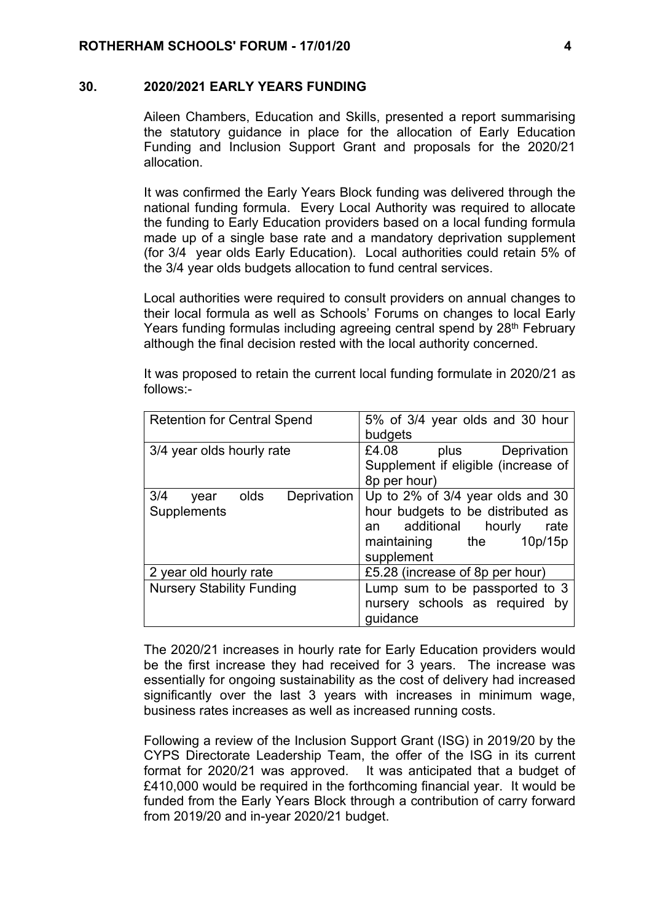#### **30. 2020/2021 EARLY YEARS FUNDING**

Aileen Chambers, Education and Skills, presented a report summarising the statutory guidance in place for the allocation of Early Education Funding and Inclusion Support Grant and proposals for the 2020/21 allocation.

It was confirmed the Early Years Block funding was delivered through the national funding formula. Every Local Authority was required to allocate the funding to Early Education providers based on a local funding formula made up of a single base rate and a mandatory deprivation supplement (for 3/4 year olds Early Education). Local authorities could retain 5% of the 3/4 year olds budgets allocation to fund central services.

Local authorities were required to consult providers on annual changes to their local formula as well as Schools' Forums on changes to local Early Years funding formulas including agreeing central spend by 28<sup>th</sup> February although the final decision rested with the local authority concerned.

| <b>Retention for Central Spend</b>                | 5% of 3/4 year olds and 30 hour<br>budgets                                                                                                           |
|---------------------------------------------------|------------------------------------------------------------------------------------------------------------------------------------------------------|
| 3/4 year olds hourly rate                         | £4.08<br>Deprivation<br>plus<br>Supplement if eligible (increase of<br>8p per hour)                                                                  |
| 3/4<br>olds<br>Deprivation<br>year<br>Supplements | Up to 2% of 3/4 year olds and 30<br>hour budgets to be distributed as<br>additional hourly<br>rate<br>an<br>10p/15p<br>maintaining the<br>supplement |
| 2 year old hourly rate                            | £5.28 (increase of 8p per hour)                                                                                                                      |
| <b>Nursery Stability Funding</b>                  | Lump sum to be passported to 3<br>nursery schools as required by<br>guidance                                                                         |

It was proposed to retain the current local funding formulate in 2020/21 as follows:-

The 2020/21 increases in hourly rate for Early Education providers would be the first increase they had received for 3 years. The increase was essentially for ongoing sustainability as the cost of delivery had increased significantly over the last 3 years with increases in minimum wage, business rates increases as well as increased running costs.

Following a review of the Inclusion Support Grant (ISG) in 2019/20 by the CYPS Directorate Leadership Team, the offer of the ISG in its current format for 2020/21 was approved. It was anticipated that a budget of £410,000 would be required in the forthcoming financial year. It would be funded from the Early Years Block through a contribution of carry forward from 2019/20 and in-year 2020/21 budget.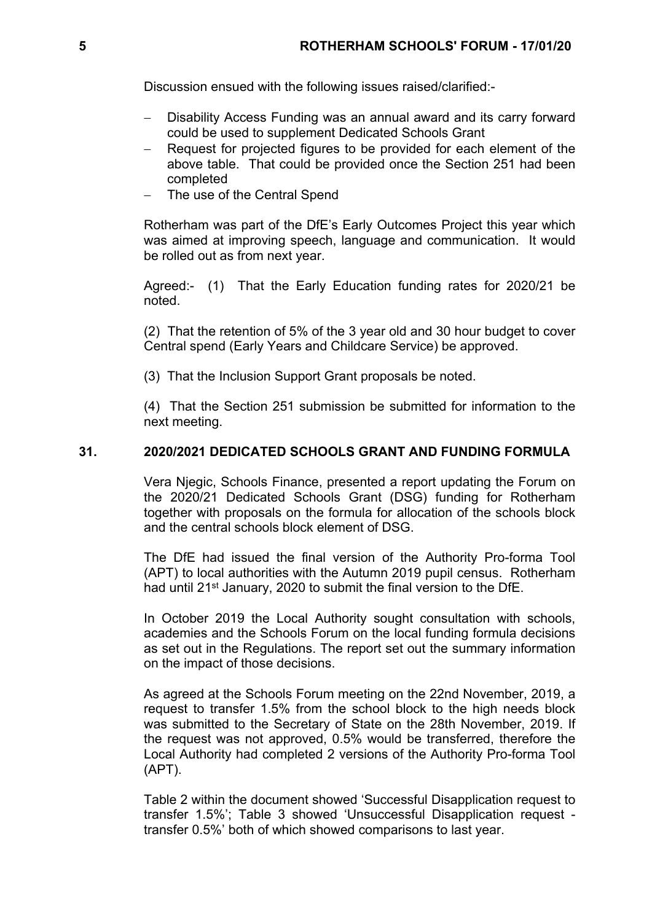Discussion ensued with the following issues raised/clarified:-

- Disability Access Funding was an annual award and its carry forward could be used to supplement Dedicated Schools Grant
- Request for projected figures to be provided for each element of the above table. That could be provided once the Section 251 had been completed
- The use of the Central Spend

Rotherham was part of the DfE's Early Outcomes Project this year which was aimed at improving speech, language and communication. It would be rolled out as from next year.

Agreed:- (1) That the Early Education funding rates for 2020/21 be noted.

(2) That the retention of 5% of the 3 year old and 30 hour budget to cover Central spend (Early Years and Childcare Service) be approved.

(3) That the Inclusion Support Grant proposals be noted.

(4) That the Section 251 submission be submitted for information to the next meeting.

### **31. 2020/2021 DEDICATED SCHOOLS GRANT AND FUNDING FORMULA**

Vera Njegic, Schools Finance, presented a report updating the Forum on the 2020/21 Dedicated Schools Grant (DSG) funding for Rotherham together with proposals on the formula for allocation of the schools block and the central schools block element of DSG.

The DfE had issued the final version of the Authority Pro-forma Tool (APT) to local authorities with the Autumn 2019 pupil census. Rotherham had until 21<sup>st</sup> January, 2020 to submit the final version to the DfE.

In October 2019 the Local Authority sought consultation with schools, academies and the Schools Forum on the local funding formula decisions as set out in the Regulations. The report set out the summary information on the impact of those decisions.

As agreed at the Schools Forum meeting on the 22nd November, 2019, a request to transfer 1.5% from the school block to the high needs block was submitted to the Secretary of State on the 28th November, 2019. If the request was not approved, 0.5% would be transferred, therefore the Local Authority had completed 2 versions of the Authority Pro-forma Tool (APT).

Table 2 within the document showed 'Successful Disapplication request to transfer 1.5%'; Table 3 showed 'Unsuccessful Disapplication request transfer 0.5%' both of which showed comparisons to last year.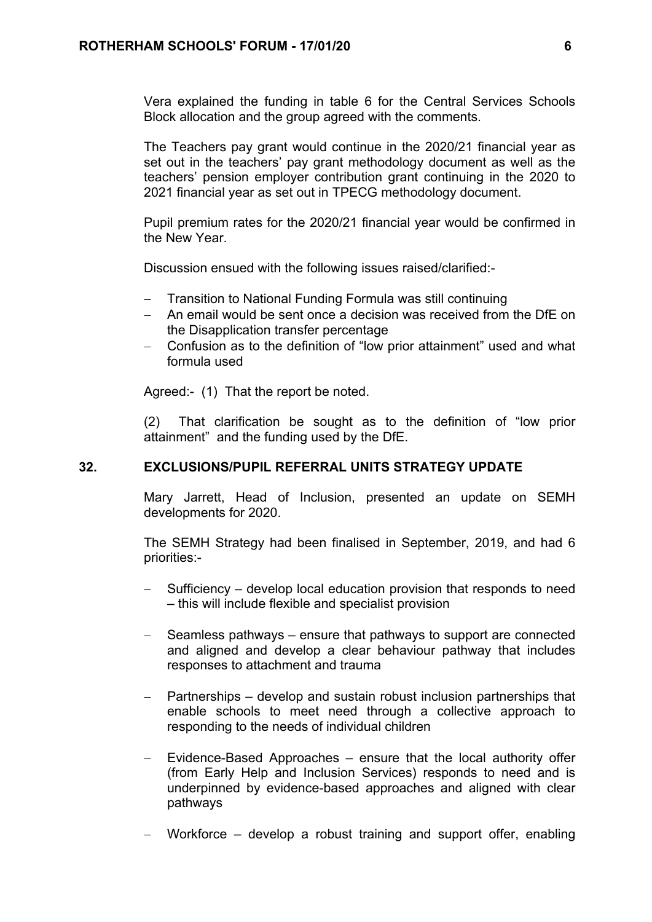Vera explained the funding in table 6 for the Central Services Schools Block allocation and the group agreed with the comments.

The Teachers pay grant would continue in the 2020/21 financial year as set out in the teachers' pay grant methodology document as well as the teachers' pension employer contribution grant continuing in the 2020 to 2021 financial year as set out in TPECG methodology document.

Pupil premium rates for the 2020/21 financial year would be confirmed in the New Year.

Discussion ensued with the following issues raised/clarified:-

- Transition to National Funding Formula was still continuing
- An email would be sent once a decision was received from the DfE on the Disapplication transfer percentage
- Confusion as to the definition of "low prior attainment" used and what formula used

Agreed:- (1) That the report be noted.

(2) That clarification be sought as to the definition of "low prior attainment" and the funding used by the DfE.

# **32. EXCLUSIONS/PUPIL REFERRAL UNITS STRATEGY UPDATE**

Mary Jarrett, Head of Inclusion, presented an update on SEMH developments for 2020.

The SEMH Strategy had been finalised in September, 2019, and had 6 priorities:-

- Sufficiency develop local education provision that responds to need – this will include flexible and specialist provision
- Seamless pathways ensure that pathways to support are connected and aligned and develop a clear behaviour pathway that includes responses to attachment and trauma
- $-$  Partnerships develop and sustain robust inclusion partnerships that enable schools to meet need through a collective approach to responding to the needs of individual children
- $-$  Evidence-Based Approaches  $-$  ensure that the local authority offer (from Early Help and Inclusion Services) responds to need and is underpinned by evidence-based approaches and aligned with clear pathways
- Workforce develop a robust training and support offer, enabling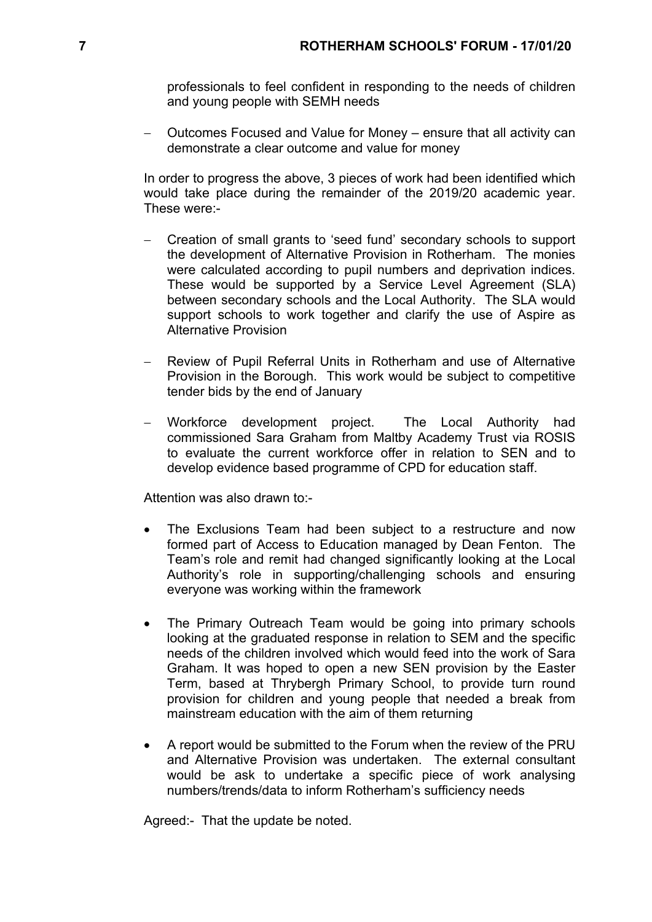professionals to feel confident in responding to the needs of children and young people with SEMH needs

 Outcomes Focused and Value for Money – ensure that all activity can demonstrate a clear outcome and value for money

In order to progress the above, 3 pieces of work had been identified which would take place during the remainder of the 2019/20 academic year. These were:-

- Creation of small grants to 'seed fund' secondary schools to support the development of Alternative Provision in Rotherham. The monies were calculated according to pupil numbers and deprivation indices. These would be supported by a Service Level Agreement (SLA) between secondary schools and the Local Authority. The SLA would support schools to work together and clarify the use of Aspire as Alternative Provision
- Review of Pupil Referral Units in Rotherham and use of Alternative Provision in the Borough. This work would be subject to competitive tender bids by the end of January
- Workforce development project. The Local Authority had commissioned Sara Graham from Maltby Academy Trust via ROSIS to evaluate the current workforce offer in relation to SEN and to develop evidence based programme of CPD for education staff.

Attention was also drawn to:-

- The Exclusions Team had been subject to a restructure and now formed part of Access to Education managed by Dean Fenton. The Team's role and remit had changed significantly looking at the Local Authority's role in supporting/challenging schools and ensuring everyone was working within the framework
- The Primary Outreach Team would be going into primary schools looking at the graduated response in relation to SEM and the specific needs of the children involved which would feed into the work of Sara Graham. It was hoped to open a new SEN provision by the Easter Term, based at Thrybergh Primary School, to provide turn round provision for children and young people that needed a break from mainstream education with the aim of them returning
- A report would be submitted to the Forum when the review of the PRU and Alternative Provision was undertaken. The external consultant would be ask to undertake a specific piece of work analysing numbers/trends/data to inform Rotherham's sufficiency needs

Agreed:- That the update be noted.